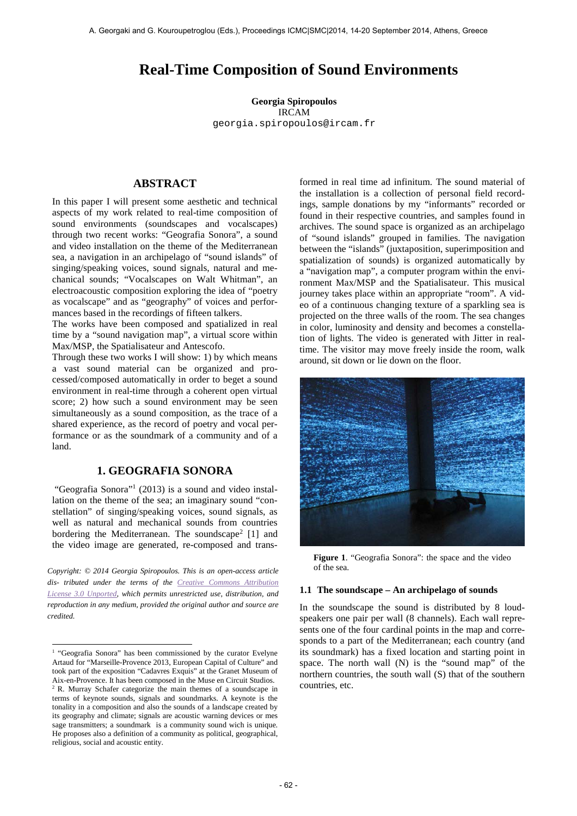# **Real-Time Composition of Sound Environments**

**Georgia Spiropoulos**  IRCAM georgia.spiropoulos@ircam.fr

# **ABSTRACT**

In this paper I will present some aesthetic and technical aspects of my work related to real-time composition of sound environments (soundscapes and vocalscapes) through two recent works: "Geografia Sonora", a sound and video installation on the theme of the Mediterranean sea, a navigation in an archipelago of "sound islands" of singing/speaking voices, sound signals, natural and mechanical sounds; "Vocalscapes on Walt Whitman", an electroacoustic composition exploring the idea of "poetry as vocalscape" and as "geography" of voices and performances based in the recordings of fifteen talkers.

The works have been composed and spatialized in real time by a "sound navigation map", a virtual score within Max/MSP, the Spatialisateur and Antescofo.

Through these two works I will show: 1) by which means a vast sound material can be organized and processed/composed automatically in order to beget a sound environment in real-time through a coherent open virtual score; 2) how such a sound environment may be seen simultaneously as a sound composition, as the trace of a shared experience, as the record of poetry and vocal performance or as the soundmark of a community and of a land.

# **1. GEOGRAFIA SONORA**

"Geografia Sonora"<sup>1</sup> (2013) is a sound and video installation on the theme of the sea; an imaginary sound "constellation" of singing/speaking voices, sound signals, as well as natural and mechanical sounds from countries bordering the Mediterranean. The soundscape<sup>2</sup> [1] and the video image are generated, re-composed and trans-

*Copyright: © 2014 Georgia Spiropoulos. This is an open-access article dis- tributed under the terms of the Creative Commons Attribution License 3.0 Unported, which permits unrestricted use, distribution, and reproduction in any medium, provided the original author and source are credited.* 

formed in real time ad infinitum. The sound material of the installation is a collection of personal field recordings, sample donations by my "informants" recorded or found in their respective countries, and samples found in archives. The sound space is organized as an archipelago of "sound islands" grouped in families. The navigation between the "islands" (juxtaposition, superimposition and spatialization of sounds) is organized automatically by a "navigation map", a computer program within the environment Max/MSP and the Spatialisateur. This musical journey takes place within an appropriate "room". A video of a continuous changing texture of a sparkling sea is projected on the three walls of the room. The sea changes in color, luminosity and density and becomes a constellation of lights. The video is generated with Jitter in realtime. The visitor may move freely inside the room, walk around, sit down or lie down on the floor.



**Figure 1**. "Geografia Sonora": the space and the video of the sea.

#### **1.1 The soundscape – An archipelago of sounds**

In the soundscape the sound is distributed by 8 loudspeakers one pair per wall (8 channels). Each wall represents one of the four cardinal points in the map and corresponds to a part of the Mediterranean; each country (and its soundmark) has a fixed location and starting point in space. The north wall (N) is the "sound map" of the northern countries, the south wall (S) that of the southern countries, etc.

 1 "Geografia Sonora" has been commissioned by the curator Evelyne Artaud for "Marseille-Provence 2013, European Capital of Culture" and took part of the exposition "Cadavres Exquis" at the Granet Museum of Aix-en-Provence. It has been composed in the Muse en Circuit Studios. <sup>2</sup> R. Murray Schafer categorize the main themes of a soundscape in terms of keynote sounds, signals and soundmarks. A keynote is the tonality in a composition and also the sounds of a landscape created by its geography and climate; signals are acoustic warning devices or mes sage transmitters; a soundmark is a community sound wich is unique. He proposes also a definition of a community as political, geographical, religious, social and acoustic entity.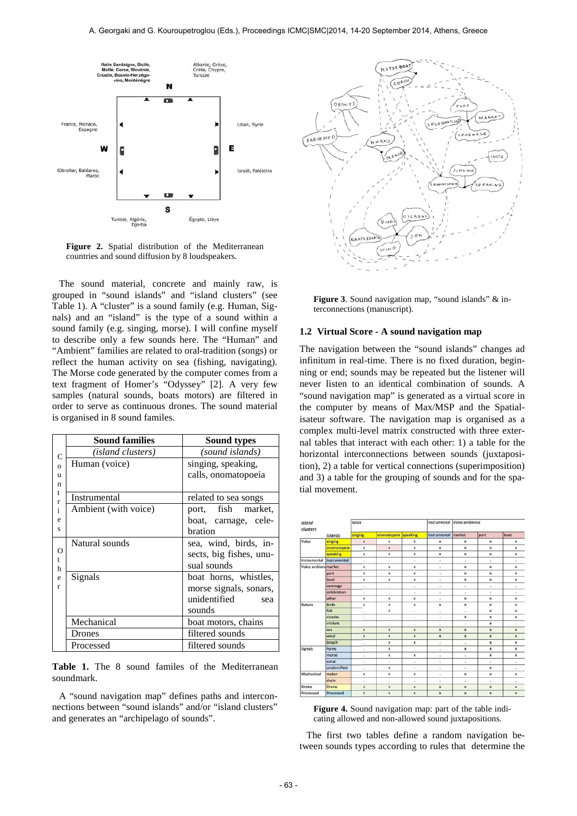

**Figure 2.** Spatial distribution of the Mediterranean countries and sound diffusion by 8 loudspeakers.

The sound material, concrete and mainly raw, is grouped in "sound islands" and "island clusters" (see Table 1). A "cluster" is a sound family (e.g. Human, Signals) and an "island" is the type of a sound within a sound family (e.g. singing, morse). I will confine myself to describe only a few sounds here. The "Human" and "Ambient" families are related to oral-tradition (songs) or reflect the human activity on sea (fishing, navigating). The Morse code generated by the computer comes from a text fragment of Homer's "Odyssey" [2]*.* A very few samples (natural sounds, boats motors) are filtered in order to serve as continuous drones. The sound material is organised in 8 sound familes.

|              | <b>Sound families</b> | <b>Sound types</b>      |  |  |  |
|--------------|-----------------------|-------------------------|--|--|--|
| $\mathsf{C}$ | (island clusters)     | (sound islands)         |  |  |  |
| $\Omega$     | Human (voice)         | singing, speaking,      |  |  |  |
| u            |                       | calls, onomatopoeia     |  |  |  |
| n            |                       |                         |  |  |  |
| t<br>r       | Instrumental          | related to sea songs    |  |  |  |
| $\mathbf{i}$ | Ambient (with voice)  | port, fish<br>market.   |  |  |  |
| e            |                       | boat, carnage, cele-    |  |  |  |
| S            |                       | bration                 |  |  |  |
|              | Natural sounds        | sea, wind, birds, in-   |  |  |  |
| О<br>t       |                       | sects, big fishes, unu- |  |  |  |
| h            |                       | sual sounds             |  |  |  |
| e            | Signals               | boat horns, whistles,   |  |  |  |
| r            |                       | morse signals, sonars,  |  |  |  |
|              |                       | unidentified<br>sea     |  |  |  |
|              |                       | sounds                  |  |  |  |
|              | Mechanical            | boat motors, chains     |  |  |  |
|              | Drones                | filtered sounds         |  |  |  |
|              | Processed             | filtered sounds         |  |  |  |

**Table 1.** The 8 sound familes of the Mediterranean soundmark.

A "sound navigation map" defines paths and interconnections between "sound islands" and/or "island clusters" and generates an "archipelago of sounds".



**Figure 3**. Sound navigation map, "sound islands" & interconnections (manuscript).

#### **1.2 Virtual Score - A sound navigation map**

The navigation between the "sound islands" changes ad infinitum in real-time. There is no fixed duration, beginning or end; sounds may be repeated but the listener will never listen to an identical combination of sounds. A "sound navigation map" is generated as a virtual score in the computer by means of Max/MSP and the Spatialisateur software. The navigation map is organised as a complex multi-level matrix constructed with three external tables that interact with each other: 1) a table for the horizontal interconnections between sounds (juxtaposition), 2) a table for vertical connections (superimposition) and 3) a table for the grouping of sounds and for the spatial movement.



**Figure 4.** Sound navigation map: part of the table indicating allowed and non-allowed sound juxtapositions.

The first two tables define a random navigation between sounds types according to rules that determine the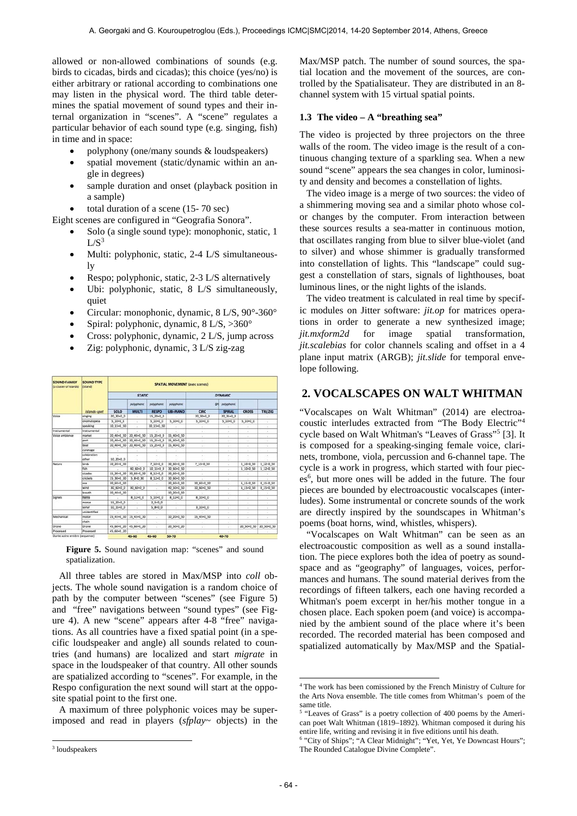allowed or non-allowed combinations of sounds (e.g. birds to cicadas, birds and cicadas); this choice (yes/no) is either arbitrary or rational according to combinations one may listen in the physical word. The third table determines the spatial movement of sound types and their internal organization in "scenes". A "scene" regulates a particular behavior of each sound type (e.g. singing, fish) in time and in space:

- polyphony (one/many sounds & loudspeakers)
- spatial movement (static/dynamic within an angle in degrees)
- sample duration and onset (playback position in a sample)
- total duration of a scene (15- 70 sec)

Eight scenes are configured in "Geografia Sonora".

- Solo (a single sound type): monophonic, static, 1  $L/S<sup>3</sup>$
- Multi: polyphonic, static, 2-4 L/S simultaneously
- Respo; polyphonic, static, 2-3 L/S alternatively
- Ubi: polyphonic, static, 8 L/S simultaneously, quiet
- Circular: monophonic, dynamic, 8 L/S, 90°-360°
- Spiral: polyphonic, dynamic, 8 L/S, >360°
- Cross: polyphonic, dynamic, 2 L/S, jump across
- Zig: polyphonic, dynamic, 3 L/S zig-zag

| <b>SOUND FAMILY</b><br>(a cluster of islands) | <b>SOUND TYPE</b><br>(Island)<br>islands-spat | <b>SPATIAL MOVEMENT</b> (avec scenes) |                            |                            |                                |            |                                |              |            |
|-----------------------------------------------|-----------------------------------------------|---------------------------------------|----------------------------|----------------------------|--------------------------------|------------|--------------------------------|--------------|------------|
|                                               |                                               | <b>STATIC</b>                         |                            |                            | <b>DYNAMIC</b>                 |            |                                |              |            |
|                                               |                                               | SOLO                                  | polyphonic<br><b>MULTI</b> | palyphonic<br><b>RESPO</b> | polyphonic<br><b>UBI-PIANO</b> | CIRC       | D1 polyphonic<br><b>SPIRAL</b> | <b>CROSS</b> | TRI/ZIG    |
|                                               |                                               |                                       |                            |                            |                                |            |                                |              |            |
|                                               | cnomatopeia                                   | $510+00$                              | $\sim$                     | $5,10+0,0$                 | $510+00$                       | $5,10+0,0$ | 5,10+0.0                       | $510 - 00$   | ×.         |
|                                               | speaking                                      | 10 15+0 50                            | ×                          | 10 15+0 50                 | $\sim$                         | ٠          | ٠                              | ٠            | ÷          |
| instrumental                                  | Instrumental                                  |                                       |                            |                            |                                |            | ٠                              | ٠            | ÷          |
| Voice ambience                                | market                                        | 20 40+0 50                            | 20 40+0 50                 | 15 25+0 0                  | 15 40+0 50                     |            | $\sim$                         | ٠            | $\sim$     |
|                                               | port.                                         | 20 40+0 50                            | 20 40+0 50                 | 15 25+0 0                  | 15 40+0 50                     | ¥.         | ×                              | ×            | $\sim$     |
|                                               | boat                                          | 20,40+0 50                            | 20 40+0 50                 | 15 25+0.0                  | 15 40+0 50                     | ×.         | ×.                             | ×            | ×          |
|                                               | carenage                                      | ٠                                     |                            |                            | ×                              | ×          | ×                              | ×            | ×          |
|                                               | celebration                                   |                                       | $\rightarrow$              | $\sim$                     | $\alpha$ .                     | ×.         | $\sim$                         | ×            | $\sim$     |
|                                               | other                                         | 10 20+0 0                             | ×                          | $\sim$                     |                                |            | ٠                              |              |            |
| Nature                                        | birds                                         | 10 20+0 50                            |                            | 7 10+0 0                   | 30 60+0 50                     | 7 15+0 50  | ×                              | 5 10+0 50    | 5 12+0 50  |
|                                               | <b>fish</b>                                   | ×                                     | 40 60+0 0                  | 10 15+0 0                  | 30 60+0 50                     | ×          | $\alpha$                       | 5 10+0 50    | 5 12+0 50  |
|                                               | cicadas                                       | 15 30+0 30                            | 30 60+0 50                 | 8 12+0 0                   | 30 60+0 50                     | ¥.         | $\sim$                         | ×            | v.         |
|                                               | crickets.                                     | 15 30-0 30                            | $5, 8 + 0, 30$             | 8 12+0 0                   | 30, 60+0, 50                   |            | ٠                              |              |            |
|                                               | sea                                           | 30 60+0 50                            |                            | $\mathbf{r}_1$             | 30 60+0 50                     | 10 60+0 50 | ÷.                             | 6 15+0 50    | 8 15+0 50  |
|                                               | wind                                          | 30 60+0 0                             | 30 60+0 0                  | n.                         | 40 50+0 50                     | 10 60+0 50 | ×                              | 6 15+0 50    | 8 15+0 50  |
|                                               | breath                                        | 30 40+0 30                            |                            | ×                          | 10 20+0 50                     |            | ×                              | ٠            |            |
| Signals                                       | horns                                         |                                       | 8.12+0.0                   | 5 10+0 0                   | 8 12+0 0                       | 8 10+0 0   | ×                              | ٠            | ×          |
|                                               | morse                                         | 15, 20+0.0                            |                            | $2,5+0,0$                  | $\mathcal{C}$                  |            | ×                              | ٠            | ٠          |
|                                               | sonar                                         | 10 15+0 0                             | ×                          | $5.8 + 0.0$                | $\sim$                         | 3 10+0 0   | $\sim$                         | $\alpha$     | ×          |
|                                               | unidentified                                  |                                       |                            | $\mathbf{r}$               | ×                              |            | ٠                              | ×            | $\sim$     |
| Mechanical                                    | motor                                         | 25 45+0 30                            | 15 45+0 30                 | ×.                         | 10 20+0 50                     | 15 45+0 50 | ÷                              | ٠            | $\sim$     |
|                                               | chain                                         |                                       |                            | $\sim$                     |                                |            | ٠                              |              |            |
| Orone                                         | Drone                                         |                                       | 45 60+0 20 45 60+0 20      | $\mathcal{L}$              | 20 50+0 20                     | a)         | ×                              | 20 50+0 50   | 20 50+0 50 |
| Processed                                     | Processed                                     | 45 60+0 20                            |                            | ٠                          |                                | ×          |                                |              |            |
| Durée scène entière (sequence)                |                                               |                                       | 45-60                      | 45-60                      | 50-70                          |            | 40-70                          |              |            |

**Figure 5.** Sound navigation map: "scenes" and sound spatialization.

All three tables are stored in Max/MSP into *coll* objects. The whole sound navigation is a random choice of path by the computer between "scenes" (see Figure 5) and "free" navigations between "sound types" (see Figure 4). A new "scene" appears after 4-8 "free" navigations. As all countries have a fixed spatial point (in a specific loudspeaker and angle) all sounds related to countries (and humans) are localized and start *migrate* in space in the loudspeaker of that country. All other sounds are spatialized according to "scenes". For example, in the Respo configuration the next sound will start at the opposite spatial point to the first one.

A maximum of three polyphonic voices may be superimposed and read in players (*sfplay~* objects) in the

l

Max/MSP patch. The number of sound sources, the spatial location and the movement of the sources, are controlled by the Spatialisateur. They are distributed in an 8 channel system with 15 virtual spatial points.

### **1.3 The video – A "breathing sea"**

The video is projected by three projectors on the three walls of the room. The video image is the result of a continuous changing texture of a sparkling sea. When a new sound "scene" appears the sea changes in color, luminosity and density and becomes a constellation of lights.

The video image is a merge of two sources: the video of a shimmering moving sea and a similar photo whose color changes by the computer. From interaction between these sources results a sea-matter in continuous motion, that oscillates ranging from blue to silver blue-violet (and to silver) and whose shimmer is gradually transformed into constellation of lights. This "landscape" could suggest a constellation of stars, signals of lighthouses, boat luminous lines, or the night lights of the islands.

The video treatment is calculated in real time by specific modules on Jitter software: *jit.op* for matrices operations in order to generate a new synthesized image; *jit.mxform2d* for image spatial transformation, *jit.scalebias* for color channels scaling and offset in a 4 plane input matrix (ARGB); *jit.slide* for temporal envelope following.

# **2. VOCALSCAPES ON WALT WHITMAN**

"Vocalscapes on Walt Whitman" (2014) are electroacoustic interludes extracted from "The Body Electric"<sup>4</sup> cycle based on Walt Whitman's "Leaves of Grass"<sup>5</sup> [3]. It is composed for a speaking-singing female voice, clarinets, trombone, viola, percussion and 6-channel tape. The cycle is a work in progress, which started with four pieces<sup>6</sup>, but more ones will be added in the future. The four pieces are bounded by electroacoustic vocalscapes (interludes). Some instrumental or concrete sounds of the work are directly inspired by the soundscapes in Whitman's poems (boat horns, wind, whistles, whispers).

"Vocalscapes on Walt Whitman" can be seen as an electroacoustic composition as well as a sound installation. The piece explores both the idea of poetry as soundspace and as "geography" of languages, voices, performances and humans. The sound material derives from the recordings of fifteen talkers, each one having recorded a Whitman's poem excerpt in her/his mother tongue in a chosen place. Each spoken poem (and voice) is accompanied by the ambient sound of the place where it's been recorded. The recorded material has been composed and spatialized automatically by Max/MSP and the Spatial-

 $\overline{a}$ 

<sup>3</sup> loudspeakers

<sup>4</sup>The work has been comissioned by the French Ministry of Culture for the Arts Nova ensemble. The title comes from Whitman's poem of the same title.

<sup>5</sup> "Leaves of Grass" is a poetry collection of 400 poems by the American poet Walt Whitman (1819–1892). Whitman composed it during his entire life, writing and revising it in five editions until his death.

<sup>6</sup> "City of Ships"; "A Clear Midnight"; "Yet, Yet, Ye Downcast Hours"; The Rounded Catalogue Divine Complete".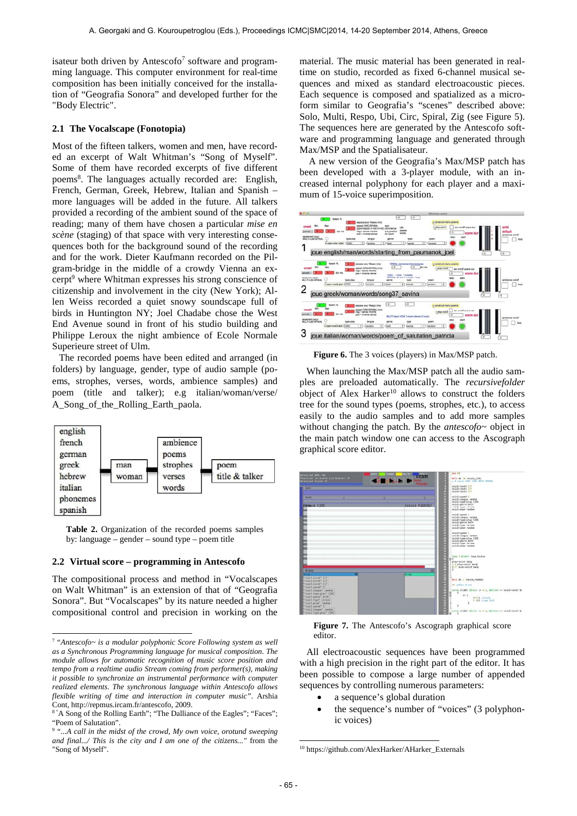isateur both driven by Antescofo<sup>7</sup> software and programming language. This computer environment for real-time composition has been initially conceived for the installation of "Geografia Sonora" and developed further for the "Body Electric".

#### **2.1 The Vocalscape (Fonotopia)**

Most of the fifteen talkers, women and men, have recorded an excerpt of Walt Whitman's "Song of Myself". Some of them have recorded excerpts of five different poems<sup>8</sup>. The languages actually recorded are: English, French, German, Greek, Hebrew, Italian and Spanish – more languages will be added in the future. All talkers provided a recording of the ambient sound of the space of reading; many of them have chosen a particular *mise en scène* (staging) of that space with very interesting consequences both for the background sound of the recording and for the work. Dieter Kaufmann recorded on the Pilgram-bridge in the middle of a crowdy Vienna an excerpt<sup>9</sup> where Whitman expresses his strong conscience of citizenship and involvement in the city (New York); Allen Weiss recorded a quiet snowy soundscape full of birds in Huntington NY; Joel Chadabe chose the West End Avenue sound in front of his studio building and Philippe Leroux the night ambience of Ecole Normale Superieure street of Ulm.

The recorded poems have been edited and arranged (in folders) by language, gender, type of audio sample (poems, strophes, verses, words, ambience samples) and poem (title and talker); e.g italian/woman/verse/ A\_Song\_of\_the\_Rolling\_Earth\_paola.



**Table 2.** Organization of the recorded poems samples by: language – gender – sound type – poem title

#### **2.2 Virtual score – programming in Antescofo**

l

The compositional process and method in "Vocalscapes on Walt Whitman" is an extension of that of "Geografia Sonora". But "Vocalscapes" by its nature needed a higher compositional control and precision in working on the material. The music material has been generated in realtime on studio, recorded as fixed 6-channel musical sequences and mixed as standard electroacoustic pieces. Each sequence is composed and spatialized as a microform similar to Geografia's "scenes" described above: Solo, Multi, Respo, Ubi, Circ, Spiral, Zig (see Figure 5). The sequences here are generated by the Antescofo software and programming language and generated through Max/MSP and the Spatialisateur.

 A new version of the Geografia's Max/MSP patch has been developed with a 3-player module, with an increased internal polyphony for each player and a maximum of 15-voice superimposition.



**Figure 6.** The 3 voices (players) in Max/MSP patch.

When launching the Max/MSP patch all the audio samples are preloaded automatically. The *recursivefolder*  object of Alex Harker<sup>10</sup> allows to construct the folders tree for the sound types (poems, strophes, etc.), to access easily to the audio samples and to add more samples without changing the patch. By the *antescofo~* object in the main patch window one can access to the Ascograph graphical score editor.



**Figure 7.** The Antescofo's Ascograph graphical score editor.

All electroacoustic sequences have been programmed with a high precision in the right part of the editor. It has been possible to compose a large number of appended sequences by controlling numerous parameters:

- a sequence's global duration
- the sequence's number of "voices" (3 polyphonic voices)

 $\overline{a}$ 

<sup>7</sup>*"Antescofo~ is a modular polyphonic Score Following system as well as a Synchronous Programming language for musical composition. The module allows for automatic recognition of music score position and tempo from a realtime audio Stream coming from performer(s), making it possible to synchronize an instrumental performance with computer realized elements. The synchronous language within Antescofo allows flexible writing of time and interaction in computer music"*. Arshia Cont, http://repmus.ircam.fr/antescofo, 2009.

<sup>&</sup>lt;sup>8</sup> "A Song of the Rolling Earth"; "The Dalliance of the Eagles"; "Faces"; "Poem of Salutation".

<sup>9</sup>*"...A call in the midst of the crowd, My own voice, orotund sweeping and final.../ This is the city and I am one of the citizens..."* from the "Song of Myself".

<sup>10</sup> https://github.com/AlexHarker/AHarker\_Externals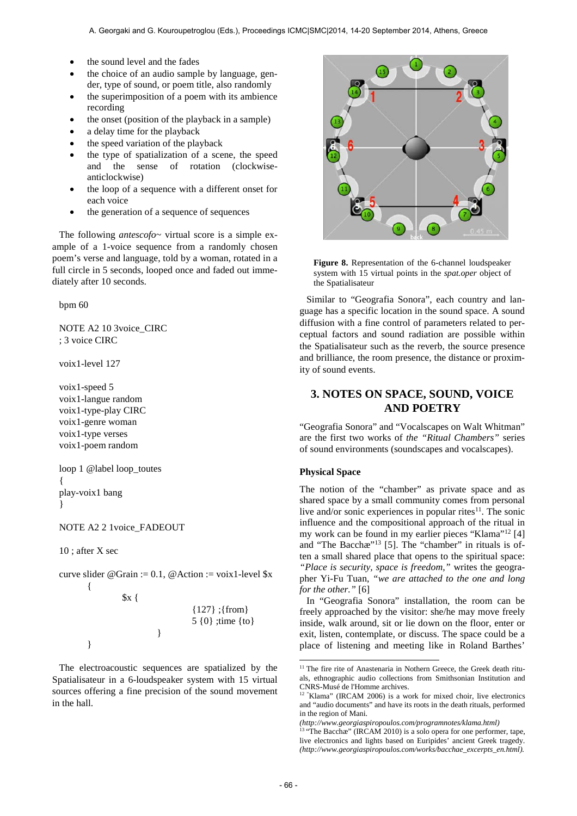- the sound level and the fades
- the choice of an audio sample by language, gender, type of sound, or poem title, also randomly
- the superimposition of a poem with its ambience recording
- the onset (position of the playback in a sample)
- a delay time for the playback
- the speed variation of the playback
- the type of spatialization of a scene, the speed and the sense of rotation (clockwiseanticlockwise)
- the loop of a sequence with a different onset for each voice
- the generation of a sequence of sequences

The following *antescofo*~ virtual score is a simple example of a 1-voice sequence from a randomly chosen poem's verse and language, told by a woman, rotated in a full circle in 5 seconds, looped once and faded out immediately after 10 seconds.

bpm 60

NOTE A2 10 3voice\_CIRC ; 3 voice CIRC

voix1-level 127

voix1-speed 5 voix1-langue random voix1-type-play CIRC voix1-genre woman voix1-type verses voix1-poem random

loop 1 @label loop\_toutes { play-voix1 bang }

NOTE A2 2 1voice\_FADEOUT

}

10 ; after X sec

}

curve slide 
$$
\circledast
$$
 Grain := 0.1,  $\circledast$  Action := 1-level  $\$x \}$ \n $\$x \}$ \n $\{127\}$ ; {from} 5 {0} ; time {to}

The electroacoustic sequences are spatialized by the Spatialisateur in a 6-loudspeaker system with 15 virtual sources offering a fine precision of the sound movement in the hall.



**Figure 8.** Representation of the 6-channel loudspeaker system with 15 virtual points in the *spat.oper* object of the Spatialisateur

Similar to "Geografia Sonora", each country and language has a specific location in the sound space. A sound diffusion with a fine control of parameters related to perceptual factors and sound radiation are possible within the Spatialisateur such as the reverb, the source presence and brilliance, the room presence, the distance or proximity of sound events.

# **3. NOTES ON SPACE, SOUND, VOICE AND POETRY**

"Geografia Sonora" and "Vocalscapes on Walt Whitman" are the first two works of *the "Ritual Chambers"* series of sound environments (soundscapes and vocalscapes).

### **Physical Space**

The notion of the "chamber" as private space and as shared space by a small community comes from personal live and/or sonic experiences in popular rites $11$ . The sonic influence and the compositional approach of the ritual in my work can be found in my earlier pieces "Klama"<sup>12</sup> [4] and "The Bacchæ"<sup>13</sup> [5]. The "chamber" in rituals is often a small shared place that opens to the spiritual space: *"Place is security, space is freedom,"* writes the geographer Yi-Fu Tuan, *"we are attached to the one and long for the other."* [6]

In "Geografia Sonora" installation, the room can be freely approached by the visitor: she/he may move freely inside, walk around, sit or lie down on the floor, enter or exit, listen, contemplate, or discuss. The space could be a place of listening and meeting like in Roland Barthes'

 $\overline{a}$ 

<sup>&</sup>lt;sup>11</sup> The fire rite of Anastenaria in Nothern Greece, the Greek death rituals, ethnographic audio collections from Smithsonian Institution and CNRS-Musé de l'Homme archives.

 $12$  "Klama" (IRCAM 2006) is a work for mixed choir, live electronics and "audio documents" and have its roots in the death rituals, performed in the region of Mani.

*<sup>(</sup>http://www.georgiaspiropoulos.com/programnotes/klama.html)*

<sup>&</sup>lt;sup>13</sup> "The Bacchæ" (IRCAM 2010) is a solo opera for one performer, tape, live electronics and lights based on Euripides' ancient Greek tragedy. *(http://www.georgiaspiropoulos.com/works/bacchae\_excerpts\_en.html).*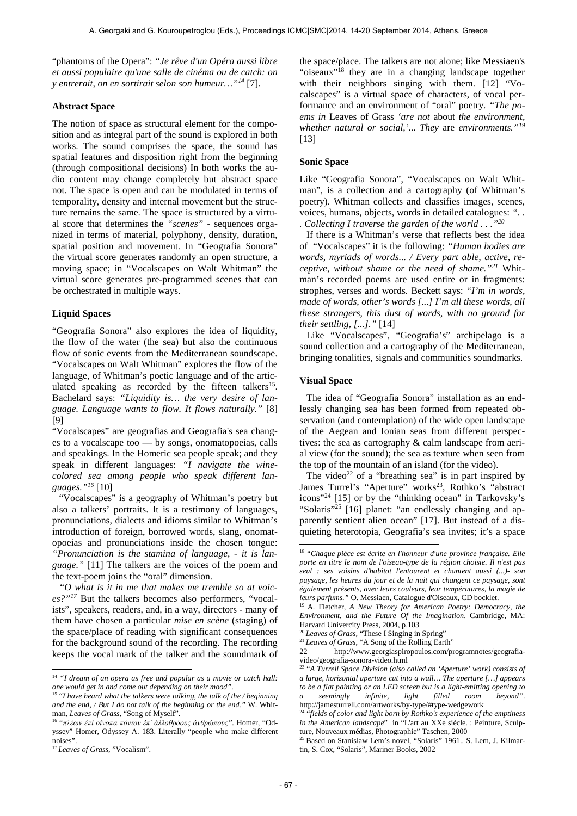"phantoms of the Opera": *"Je rêve d'un Opéra aussi libre et aussi populaire qu'une salle de cinéma ou de catch: on y entrerait, on en sortirait selon son humeur…"<sup>14</sup>* [7].

### **Abstract Space**

The notion of space as structural element for the composition and as integral part of the sound is explored in both works. The sound comprises the space, the sound has spatial features and disposition right from the beginning (through compositional decisions) In both works the audio content may change completely but abstract space not. The space is open and can be modulated in terms of temporality, density and internal movement but the structure remains the same. The space is structured by a virtual score that determines the *"scenes"* - sequences organized in terms of material, polyphony, density, duration, spatial position and movement. In "Geografia Sonora" the virtual score generates randomly an open structure, a moving space; in "Vocalscapes on Walt Whitman" the virtual score generates pre-programmed scenes that can be orchestrated in multiple ways.

### **Liquid Spaces**

"Geografia Sonora" also explores the idea of liquidity, the flow of the water (the sea) but also the continuous flow of sonic events from the Mediterranean soundscape. "Vocalscapes on Walt Whitman" explores the flow of the language, of Whitman's poetic language and of the articulated speaking as recorded by the fifteen talkers<sup>15</sup>. Bachelard says: *"Liquidity is… the very desire of language. Language wants to flow. It flows naturally."* [8] [9]

"Vocalscapes" are geografias and Geografia's sea changes to a vocalscape too — by songs, onomatopoeias, calls and speakings. In the Homeric sea people speak; and they speak in different languages: *"I navigate the winecolored sea among people who speak different languages."<sup>16</sup>* [10]

"Vocalscapes" is a geography of Whitman's poetry but also a talkers' portraits. It is a testimony of languages, pronunciations, dialects and idioms similar to Whitman's introduction of foreign, borrowed words, slang, onomatopoeias and pronunciations inside the chosen tongue: *"Pronunciation is the stamina of language, - it is language."* [11] The talkers are the voices of the poem and the text-poem joins the "oral" dimension.

*"O what is it in me that makes me tremble so at voices?"<sup>17</sup>* But the talkers becomes also performers, "vocalists", speakers, readers, and, in a way, directors - many of them have chosen a particular *mise en scène* (staging) of the space/place of reading with significant consequences for the background sound of the recording. The recording keeps the vocal mark of the talker and the soundmark of

l

the space/place. The talkers are not alone; like Messiaen's "oiseaux"<sup>18</sup> they are in a changing landscape together with their neighbors singing with them. [12] "Vocalscapes" is a virtual space of characters, of vocal performance and an environment of "oral" poetry. *"The poems in* Leaves of Grass *'are not* about *the environment, whether natural or social,'... They* are *environments."<sup>19</sup>* [13]

### **Sonic Space**

Like "Geografia Sonora", "Vocalscapes on Walt Whitman", is a collection and a cartography (of Whitman's poetry). Whitman collects and classifies images, scenes, voices, humans, objects, words in detailed catalogues: *". . . Collecting I traverse the garden of the world . . ."<sup>20</sup>*

If there is a Whitman's verse that reflects best the idea of "Vocalscapes" it is the following: *"Human bodies are words, myriads of words... / Every part able, active, receptive, without shame or the need of shame."<sup>21</sup>* Whitman's recorded poems are used entire or in fragments: strophes, verses and words. Beckett says: *"I'm in words, made of words, other's words [...] I'm all these words, all these strangers, this dust of words, with no ground for their settling, [...]."* [14]

Like "Vocalscapes", "Geografia's" archipelago is a sound collection and a cartography of the Mediterranean, bringing tonalities, signals and communities soundmarks.

### **Visual Space**

 $\overline{a}$ 

The idea of "Geografia Sonora" installation as an endlessly changing sea has been formed from repeated observation (and contemplation) of the wide open landscape of the Aegean and Ionian seas from different perspectives: the sea as cartography & calm landscape from aerial view (for the sound); the sea as texture when seen from the top of the mountain of an island (for the video).

The video<sup>22</sup> of a "breathing sea" is in part inspired by James Turrel's "Aperture" works<sup>23</sup>, Rothko's "abstract icons"<sup>24</sup> [15] or by the "thinking ocean" in Tarkovsky's "Solaris"<sup>25</sup> [16] planet: "an endlessly changing and apparently sentient alien ocean" [17]. But instead of a disquieting heterotopia, Geografia's sea invites; it's a space

<sup>14</sup> *"I dream of an opera as free and popular as a movie or catch hall: one would get in and come out depending on their mood".*

<sup>15</sup>*"I have heard what the talkers were talking, the talk of the / beginning and the end, / But I do not talk of the beginning or the end."* W. Whitman, *Leaves of Grass*, "Song of Myself".

<sup>16</sup>*"πλέων ἐπὶ οἴνοπα πόντον ἐπ' ἀλλοθρόους ἀνθρώπους".* Homer, "Odyssey" Homer, Odyssey A. 183. Literally "people who make different noises".

<sup>17</sup>*Leaves of Grass*, "Vocalism".

<sup>18</sup>*"Chaque pièce est écrite en l'honneur d'une province française. Elle porte en titre le nom de l'oiseau-type de la région choisie. Il n'est pas seul : ses voisins d'habitat l'entourent et chantent aussi (...)- son paysage, les heures du jour et de la nuit qui changent ce paysage, sont également présents, avec leurs couleurs, leur températures, la magie de leurs parfums."* O. Messiaen, Catalogue d'Oiseaux, CD bocklet.

<sup>&</sup>lt;sup>19</sup> A. Fletcher, *A New Theory for American Poetry: Democracy, the Environment, and the Future Of the Imagination*. Cambridge, MA: Harvard Univercity Press, 2004, p.103

<sup>20</sup>*Leaves of Grass,* "These I Singing in Spring"

<sup>21</sup>*Leaves of Grass*, "A Song of the Rolling Earth"

<sup>22</sup> http://www.georgiaspiropoulos.com/programnotes/geografiavideo/geografia-sonora-video.html

<sup>23</sup>*"A Turrell Space Division (also called an 'Aperture' work) consists of a large, horizontal aperture cut into a wall… The aperture […] appears to be a flat painting or an LED screen but is a light-emitting opening to a seemingly infinite, light filled room beyond"*. http://jamesturrell.com/artworks/by-type/#type-wedgework

<sup>24</sup>*"fields of color and light born by Rothko's experience of the emptiness in the American landscape*" in "L'art au XXe siècle. : Peinture, Sculpture, Nouveaux médias, Photographie" Taschen, 2000

<sup>25</sup> Based on Stanislaw Lem's novel, "Solaris" 1961.. S. Lem, J. Kilmartin, S. Cox, "Solaris", Mariner Books, 2002